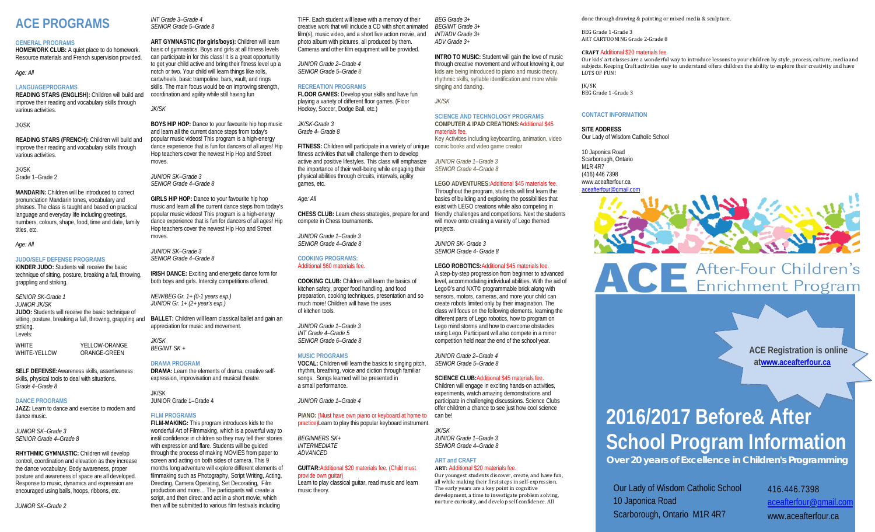# **ACE PROGRAMS**

#### **GENERAL PROGRAMS**

**HOMEWORK CLUB:** A quiet place to do homework. Resource materials and French supervision provided.

*Age: All*

#### **LANGUAGEPROGRAMS**

**READING STARS (ENGLISH):** Children will build and improve their reading and vocabulary skills through various activities.

JK/SK

**READING STARS (FRENCH):** Children will build and improve their reading and vocabulary skills through various activities.

#### JK/SK Grade 1–Grade 2

**MANDARIN:** Children will be introduced to correct pronunciation Mandarin tones, vocabulary and phrases. The class is taught and based on practical language and everyday life including greetings, numbers, colours, shape, food, time and date, family titles, etc.

*Age: All*

#### **JUDO/SELF DEFENSE PROGRAMS**

**KINDER JUDO:** Students will receive the basic technique of sitting, posture, breaking a fall, throwing, grappling and striking.

*SENIOR SK-Grade 1 JUNIOR JK/SK*  **JUDO:** Students will receive the basic technique of sitting, posture, breaking a fall, throwing, grappling and striking. Levels: **WHITE** YELLOW-ORANGE

WHITE-YELLOW ORANGE-GREEN

**SELF DEFENSE:**Awareness skills, assertiveness skills, physical tools to deal with situations. *Grade 4–Grade 8*

#### **DANCE PROGRAMS**

**JAZZ:** Learn to dance and exercise to modern and dance music.

*JUNIOR SK–Grade 3 SENIOR Grade 4–Grade 8*

**RHYTHMIC GYMNASTIC:** Children will develop control, coordination and elevation as they increase the dance vocabulary. Body awareness, proper posture and awareness of space are all developed. Response to music, dynamics and expression are encouraged using balls, hoops, ribbons, etc.

*JUNIOR SK–Grade 2*

*INT Grade 3–Grade 4 SENIOR Grade 5–Grade 8*

**ART GYMNASTIC (for girls/boys):** Children will learn basic of gymnastics. Boys and girls at all fitness levels can participate in for this class! It is a great opportunity to get your child active and bring their fitness level up a notch or two. Your child will learn things like rolls, cartwheels, basic trampoline, bars, vault, and rings skills. The main focus would be on improving strength, coordination and agility while still having fun *JK/SK*

**BOYS HIP HOP:** Dance to your favourite hip hop music and learn all the current dance steps from today's popular music videos! This program is a high-energy dance experience that is fun for dancers of all ages! Hip Hop teachers cover the newest Hip Hop and Street moves.

*JUNIOR SK–Grade 3 SENIOR Grade 4–Grade 8*

**GIRLS HIP HOP:** Dance to your favourite hip hop music and learn all the current dance steps from today's popular music videos! This program is a high-energy dance experience that is fun for dancers of all ages! Hip Hop teachers cover the newest Hip Hop and Street moves.

*JUNIOR SK–Grade 3 SENIOR Grade 4–Grade 8*

**IRISH DANCE:** Exciting and energetic dance form for both boys and girls. Intercity competitions offered.

*NEW/BEG Gr. 1+ (0-1 years exp.) JUNIOR Gr. 1+ (2+ year's exp.)*

**BALLET:** Children will learn classical ballet and gain an appreciation for music and movement.

*JK/SK BEG/INT SK +*

#### **DRAMA PROGRAM**

**DRAMA:** Learn the elements of drama, creative selfexpression, improvisation and musical theatre.

#### JK/SK JUNIOR Grade 1–Grade 4

**FILM PROGRAMS**

**FILM-MAKING:** This program introduces kids to the wonderful Art of Filmmaking, which is a powerful way to instil confidence in children so they may tell their stories with expression and flare. Students will be guided through the process of making MOVIES from paper to screen and acting on both sides of camera. This 9 months long adventure will explore different elements of filmmaking such as Photography, Script Writing, Acting, Directing, Camera Operating, Set Decorating, Film production and more… The participants will create a script, and then direct and act in a short movie, which then will be submitted to various film festivals including

TIFF. Each student will leave with a memory of their creative work that will include a CD with short animated film(s), music video, and a short live action movie, and photo album with pictures, all produced by them. Cameras and other film equipment will be provided.

*JUNIOR Grade 2–Grade 4 SENIOR Grade 5–Grade 8*

**RECREATION PROGRAMS FLOOR GAMES:** Develop your skills and have fun

playing a variety of different floor games. (Floor Hockey, Soccer, Dodge Ball, etc.)

*JK/SK-Grade 3 Grade 4- Grade 8*

**FITNESS:** Children will participate in a variety of unique comic books and video game creator fitness activities that will challenge them to develop active and positive lifestyles. This class will emphasize the importance of their well-being while engaging their physical abilities through circuits, intervals, agility games, etc.

*Age: All*

**CHESS CLUB:** Learn chess strategies, prepare for and compete in Chess tournaments.

*JUNIOR Grade 1–Grade 3 SENIOR Grade 4–Grade 8*

### **COOKING PROGRAMS:**

Additional \$60 materials fee.

**COOKING CLUB:** Children will learn the basics of kitchen safety, proper food handling, and food preparation, cooking techniques, presentation and so much more! Children will have the uses of kitchen tools.

*JUNIOR Grade 1–Grade 3 INT Grade 4–Grade 5 SENIOR Grade 6–Grade 8* 

#### **MUSIC PROGRAMS**

**VOCAL:** Children will learn the basics to singing pitch, rhythm, breathing, voice and diction through familiar songs. Songs learned will be presented in a small performance.

*JUNIOR Grade 1–Grade 4*

*ADVANCED*

#### **PIANO:** (Must have own piano or keyboard at home to

practice)Learn to play this popular keyboard instrument. *BEGINNERS SK+ INTERMEDIATE*

#### **GUITAR:**Additional \$20 materials fee. (Child must provide own guitar)

Learn to play classical guitar, read music and learn music theory.

*BEG Grade 3+ BEG/INT Grade 3+ INT/ADV Grade 3+ ADV Grade 3+*

**INTRO TO MUSIC:** Student will gain the love of music through creative movement and without knowing it, our kids are being introduced to piano and music theory, rhythmic skills, syllable identification and more while singing and dancing.

**SCIENCE AND TECHNOLOGY PROGRAMS COMPUTER & IPAD CREATIONS:**Additional \$45

materials fee. Key Activities including keyboarding, animation, video

*JUNIOR Grade 1–Grade 3 SENIOR Grade 4–Grade 8*

*JK/SK*

#### **LEGO ADVENTURES:**Additional \$45 materials fee.

Throughout the program, students will first learn the basics of building and exploring the possibilities that exist with LEGO creations while also competing in friendly challenges and competitions. Next the students will move onto creating a variety of Lego themed projects.

*JUNIOR SK- Grade 3 SENIOR Grade 4- Grade 8*

#### **LEGO ROBOTICS:**Additional \$45 materials fee.

A step-by-step progression from beginner to advanced level, accommodating individual abilities. With the aid of Lego<sup>©</sup>'s and NXT<sup>©</sup> programmable brick along with sensors, motors, cameras, and more your child can create robots limited only by their imagination. The class will focus on the following elements, learning the different parts of Lego robotics, how to program on Lego mind storms and how to overcome obstacles using Lego. Participant will also compete in a minor competition held near the end of the school year.

*JUNIOR Grade 2–Grade 4 SENIOR Grade 5–Grade 8*

#### **SCIENCE CLUB:**Additional \$45 materials fee.

Children will engage in exciting hands-on activities, experiments, watch amazing demonstrations and participate in challenging discussions. Science Clubs offer children a chance to see just how cool science

## **ART and CRAFT**

**ART:** Additional \$20 materials fee. Our youngest students discover, create, and have fun, all while making their first steps in self-expression. The early years are a key point in cognitive development, a time to investigate problem solving, nurture curiosity, and develop self confidence. All

#### done through drawing & painting or mixed media & sculpture.

BEG Grade 1-Grade 3 ART CARTOONING Grade 2-Grade 8

#### **CRAFT** Additional \$20 materials fee.

Our kids' art classes are a wonderful way to introduce lessons to your children by style, process, culture, media and subjects. Keeping Craft activities easy to understand offers children the ability to explore their creativity and have LOTS OF FUN!

JK/SK BEG Grade 1–Grade 3

#### **CONTACT INFORMATION**

#### **SITE ADDRESS**

Our Lady of Wisdom Catholic School

10 Japonica Road Scarborough, Ontario M1R 4R7 (416) 446 7398 [www.aceafterfour.ca](http://www.aceafterfour.ca/)



# ACE After-Four Children's

**ACE Registration is online a[twww.aceafterfour.ca](http://www.aceafterfour.ca/)**

# **2016/2017 Before& After School Program Information**

*Over 20 years of Excellence in Children's Programming*

Our Lady of Wisdom Catholic School 10 Japonica Road Scarborough, Ontario M1R 4R7

416.446.7398 [aceafterfour@gmail.com](mailto:aceafterfour@gmail.com) www.aceafterfour.ca

*SENIOR Grade 4–Grade 8*

*JK/SK*

can be!

*JUNIOR Grade 1–Grade 3*